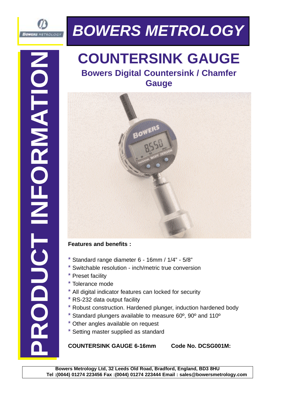

# **BOWERS METROLOGY**

## **COUNTERSINK GAUGE Bowers Digital Countersink / Chamfer Gauge**

#### **Features and benefits :**

- $*$  Standard range diameter 6 16mm / 1/4" 5/8"
- Switchable resolution inch/metric true conversion
- Preset facility
- \* Tolerance mode
- All digital indicator features can locked for security
- \* RS-232 data output facility
- Robust construction. Hardened plunger, induction hardened body
- Standard plungers available to measure 60°, 90° and 110°
- Other angles available on request
- Setting master supplied as standard

### **COUNTERSINK GAUGE 6-16mm Code No. DCSG001M:**